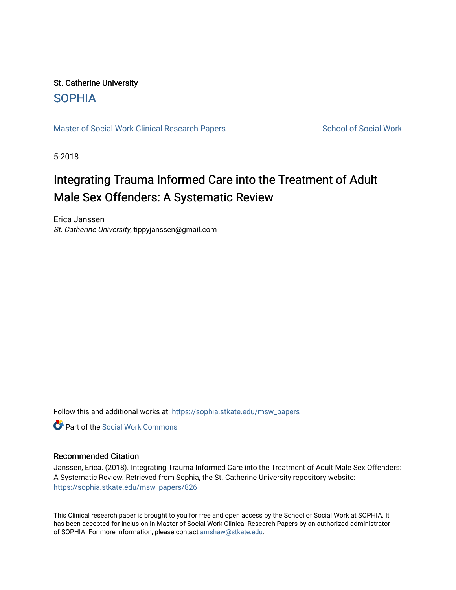# St. Catherine University [SOPHIA](https://sophia.stkate.edu/)

[Master of Social Work Clinical Research Papers](https://sophia.stkate.edu/msw_papers) School of Social Work

5-2018

# Integrating Trauma Informed Care into the Treatment of Adult Male Sex Offenders: A Systematic Review

Erica Janssen St. Catherine University, tippyjanssen@gmail.com

Follow this and additional works at: [https://sophia.stkate.edu/msw\\_papers](https://sophia.stkate.edu/msw_papers?utm_source=sophia.stkate.edu%2Fmsw_papers%2F826&utm_medium=PDF&utm_campaign=PDFCoverPages) 

**C** Part of the [Social Work Commons](http://network.bepress.com/hgg/discipline/713?utm_source=sophia.stkate.edu%2Fmsw_papers%2F826&utm_medium=PDF&utm_campaign=PDFCoverPages)

# Recommended Citation

Janssen, Erica. (2018). Integrating Trauma Informed Care into the Treatment of Adult Male Sex Offenders: A Systematic Review. Retrieved from Sophia, the St. Catherine University repository website: [https://sophia.stkate.edu/msw\\_papers/826](https://sophia.stkate.edu/msw_papers/826?utm_source=sophia.stkate.edu%2Fmsw_papers%2F826&utm_medium=PDF&utm_campaign=PDFCoverPages) 

This Clinical research paper is brought to you for free and open access by the School of Social Work at SOPHIA. It has been accepted for inclusion in Master of Social Work Clinical Research Papers by an authorized administrator of SOPHIA. For more information, please contact [amshaw@stkate.edu.](mailto:amshaw@stkate.edu)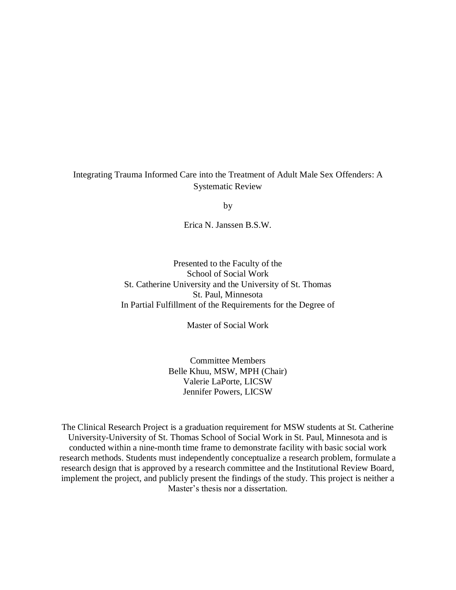# Integrating Trauma Informed Care into the Treatment of Adult Male Sex Offenders: A Systematic Review

by

Erica N. Janssen B.S.W.

Presented to the Faculty of the School of Social Work St. Catherine University and the University of St. Thomas St. Paul, Minnesota In Partial Fulfillment of the Requirements for the Degree of

Master of Social Work

Committee Members Belle Khuu, MSW, MPH (Chair) Valerie LaPorte, LICSW Jennifer Powers, LICSW

The Clinical Research Project is a graduation requirement for MSW students at St. Catherine University-University of St. Thomas School of Social Work in St. Paul, Minnesota and is conducted within a nine-month time frame to demonstrate facility with basic social work research methods. Students must independently conceptualize a research problem, formulate a research design that is approved by a research committee and the Institutional Review Board, implement the project, and publicly present the findings of the study. This project is neither a Master's thesis nor a dissertation.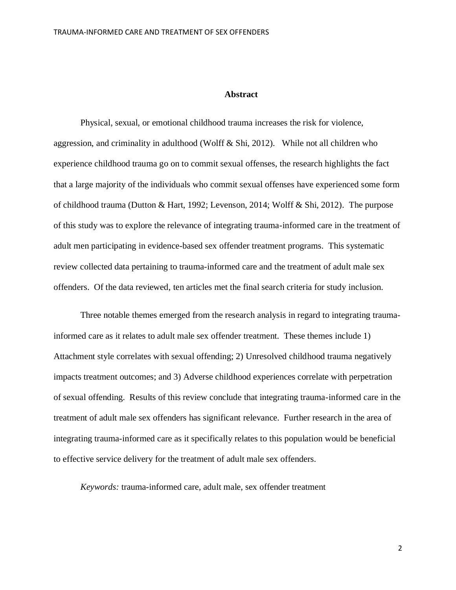#### **Abstract**

Physical, sexual, or emotional childhood trauma increases the risk for violence, aggression, and criminality in adulthood (Wolff & Shi, 2012). While not all children who experience childhood trauma go on to commit sexual offenses, the research highlights the fact that a large majority of the individuals who commit sexual offenses have experienced some form of childhood trauma (Dutton & Hart, 1992; Levenson, 2014; Wolff & Shi, 2012). The purpose of this study was to explore the relevance of integrating trauma-informed care in the treatment of adult men participating in evidence-based sex offender treatment programs. This systematic review collected data pertaining to trauma-informed care and the treatment of adult male sex offenders. Of the data reviewed, ten articles met the final search criteria for study inclusion.

Three notable themes emerged from the research analysis in regard to integrating traumainformed care as it relates to adult male sex offender treatment. These themes include 1) Attachment style correlates with sexual offending; 2) Unresolved childhood trauma negatively impacts treatment outcomes; and 3) Adverse childhood experiences correlate with perpetration of sexual offending. Results of this review conclude that integrating trauma-informed care in the treatment of adult male sex offenders has significant relevance. Further research in the area of integrating trauma-informed care as it specifically relates to this population would be beneficial to effective service delivery for the treatment of adult male sex offenders.

*Keywords:* trauma-informed care, adult male, sex offender treatment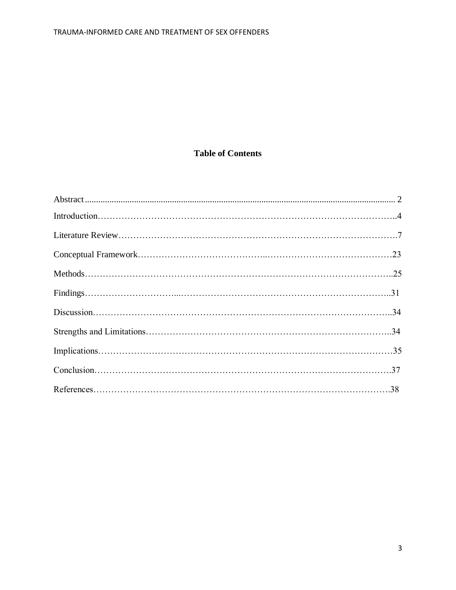# **Table of Contents**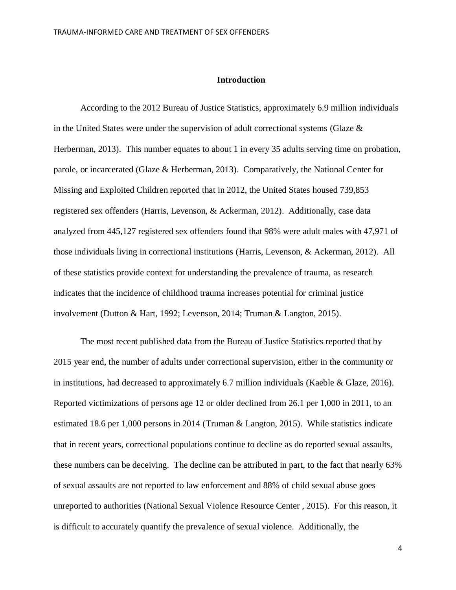# **Introduction**

According to the 2012 Bureau of Justice Statistics, approximately 6.9 million individuals in the United States were under the supervision of adult correctional systems (Glaze  $\&$ Herberman, 2013). This number equates to about 1 in every 35 adults serving time on probation, parole, or incarcerated (Glaze & Herberman, 2013). Comparatively, the National Center for Missing and Exploited Children reported that in 2012, the United States housed 739,853 registered sex offenders (Harris, Levenson, & Ackerman, 2012). Additionally, case data analyzed from 445,127 registered sex offenders found that 98% were adult males with 47,971 of those individuals living in correctional institutions (Harris, Levenson, & Ackerman, 2012). All of these statistics provide context for understanding the prevalence of trauma, as research indicates that the incidence of childhood trauma increases potential for criminal justice involvement (Dutton & Hart, 1992; Levenson, 2014; Truman & Langton, 2015).

The most recent published data from the Bureau of Justice Statistics reported that by 2015 year end, the number of adults under correctional supervision, either in the community or in institutions, had decreased to approximately 6.7 million individuals (Kaeble & Glaze, 2016). Reported victimizations of persons age 12 or older declined from 26.1 per 1,000 in 2011, to an estimated 18.6 per 1,000 persons in 2014 (Truman & Langton, 2015). While statistics indicate that in recent years, correctional populations continue to decline as do reported sexual assaults, these numbers can be deceiving. The decline can be attributed in part, to the fact that nearly 63% of sexual assaults are not reported to law enforcement and 88% of child sexual abuse goes unreported to authorities (National Sexual Violence Resource Center , 2015). For this reason, it is difficult to accurately quantify the prevalence of sexual violence. Additionally, the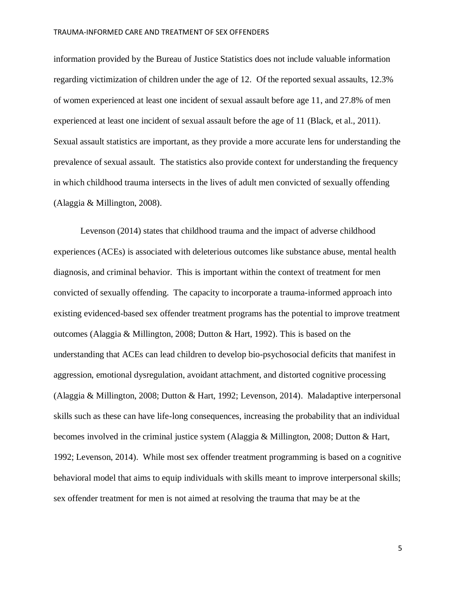information provided by the Bureau of Justice Statistics does not include valuable information regarding victimization of children under the age of 12. Of the reported sexual assaults, 12.3% of women experienced at least one incident of sexual assault before age 11, and 27.8% of men experienced at least one incident of sexual assault before the age of 11 (Black, et al., 2011). Sexual assault statistics are important, as they provide a more accurate lens for understanding the prevalence of sexual assault. The statistics also provide context for understanding the frequency in which childhood trauma intersects in the lives of adult men convicted of sexually offending (Alaggia & Millington, 2008).

Levenson (2014) states that childhood trauma and the impact of adverse childhood experiences (ACEs) is associated with deleterious outcomes like substance abuse, mental health diagnosis, and criminal behavior. This is important within the context of treatment for men convicted of sexually offending. The capacity to incorporate a trauma-informed approach into existing evidenced-based sex offender treatment programs has the potential to improve treatment outcomes (Alaggia & Millington, 2008; Dutton & Hart, 1992). This is based on the understanding that ACEs can lead children to develop bio-psychosocial deficits that manifest in aggression, emotional dysregulation, avoidant attachment, and distorted cognitive processing (Alaggia & Millington, 2008; Dutton & Hart, 1992; Levenson, 2014). Maladaptive interpersonal skills such as these can have life-long consequences, increasing the probability that an individual becomes involved in the criminal justice system (Alaggia & Millington, 2008; Dutton & Hart, 1992; Levenson, 2014). While most sex offender treatment programming is based on a cognitive behavioral model that aims to equip individuals with skills meant to improve interpersonal skills; sex offender treatment for men is not aimed at resolving the trauma that may be at the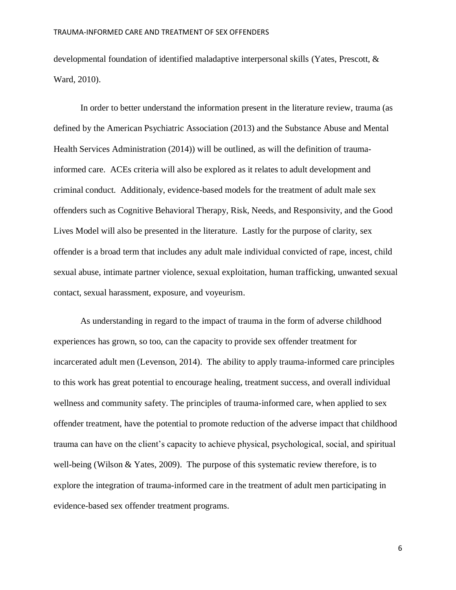developmental foundation of identified maladaptive interpersonal skills (Yates, Prescott, & Ward, 2010).

In order to better understand the information present in the literature review, trauma (as defined by the American Psychiatric Association (2013) and the Substance Abuse and Mental Health Services Administration (2014)) will be outlined, as will the definition of traumainformed care. ACEs criteria will also be explored as it relates to adult development and criminal conduct. Additionaly, evidence-based models for the treatment of adult male sex offenders such as Cognitive Behavioral Therapy, Risk, Needs, and Responsivity, and the Good Lives Model will also be presented in the literature. Lastly for the purpose of clarity, sex offender is a broad term that includes any adult male individual convicted of rape, incest, child sexual abuse, intimate partner violence, sexual exploitation, human trafficking, unwanted sexual contact, sexual harassment, exposure, and voyeurism.

As understanding in regard to the impact of trauma in the form of adverse childhood experiences has grown, so too, can the capacity to provide sex offender treatment for incarcerated adult men (Levenson, 2014). The ability to apply trauma-informed care principles to this work has great potential to encourage healing, treatment success, and overall individual wellness and community safety. The principles of trauma-informed care, when applied to sex offender treatment, have the potential to promote reduction of the adverse impact that childhood trauma can have on the client's capacity to achieve physical, psychological, social, and spiritual well-being (Wilson & Yates, 2009). The purpose of this systematic review therefore, is to explore the integration of trauma-informed care in the treatment of adult men participating in evidence-based sex offender treatment programs.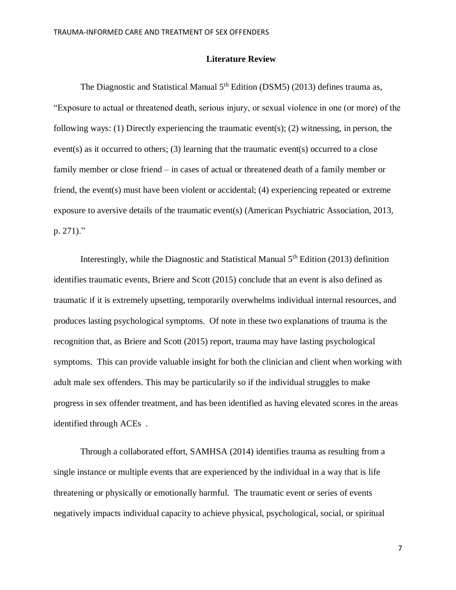# **Literature Review**

The Diagnostic and Statistical Manual 5<sup>th</sup> Edition (DSM5) (2013) defines trauma as, "Exposure to actual or threatened death, serious injury, or sexual violence in one (or more) of the following ways: (1) Directly experiencing the traumatic event(s); (2) witnessing, in person, the event(s) as it occurred to others; (3) learning that the traumatic event(s) occurred to a close family member or close friend – in cases of actual or threatened death of a family member or friend, the event(s) must have been violent or accidental; (4) experiencing repeated or extreme exposure to aversive details of the traumatic event(s) (American Psychiatric Association, 2013, p. 271)."

Interestingly, while the Diagnostic and Statistical Manual  $5<sup>th</sup>$  Edition (2013) definition identifies traumatic events, Briere and Scott (2015) conclude that an event is also defined as traumatic if it is extremely upsetting, temporarily overwhelms individual internal resources, and produces lasting psychological symptoms. Of note in these two explanations of trauma is the recognition that, as Briere and Scott (2015) report, trauma may have lasting psychological symptoms. This can provide valuable insight for both the clinician and client when working with adult male sex offenders. This may be particularily so if the individual struggles to make progress in sex offender treatment, and has been identified as having elevated scores in the areas identified through ACEs .

Through a collaborated effort, SAMHSA (2014) identifies trauma as resulting from a single instance or multiple events that are experienced by the individual in a way that is life threatening or physically or emotionally harmful. The traumatic event or series of events negatively impacts individual capacity to achieve physical, psychological, social, or spiritual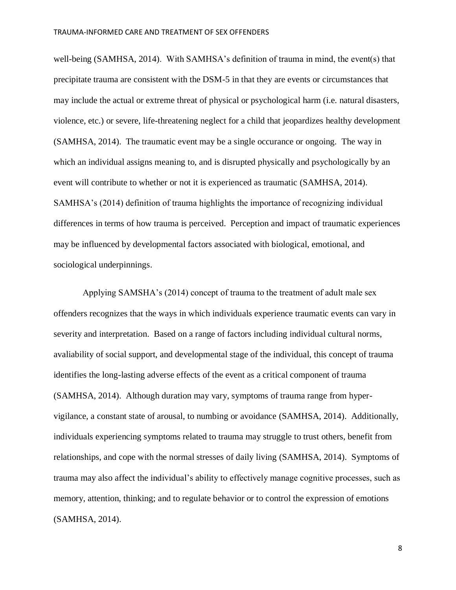well-being (SAMHSA, 2014). With SAMHSA's definition of trauma in mind, the event(s) that precipitate trauma are consistent with the DSM-5 in that they are events or circumstances that may include the actual or extreme threat of physical or psychological harm (i.e. natural disasters, violence, etc.) or severe, life-threatening neglect for a child that jeopardizes healthy development (SAMHSA, 2014). The traumatic event may be a single occurance or ongoing. The way in which an individual assigns meaning to, and is disrupted physically and psychologically by an event will contribute to whether or not it is experienced as traumatic (SAMHSA, 2014). SAMHSA's (2014) definition of trauma highlights the importance of recognizing individual differences in terms of how trauma is perceived. Perception and impact of traumatic experiences may be influenced by developmental factors associated with biological, emotional, and sociological underpinnings.

Applying SAMSHA's (2014) concept of trauma to the treatment of adult male sex offenders recognizes that the ways in which individuals experience traumatic events can vary in severity and interpretation. Based on a range of factors including individual cultural norms, avaliability of social support, and developmental stage of the individual, this concept of trauma identifies the long-lasting adverse effects of the event as a critical component of trauma (SAMHSA, 2014). Although duration may vary, symptoms of trauma range from hypervigilance, a constant state of arousal, to numbing or avoidance (SAMHSA, 2014). Additionally, individuals experiencing symptoms related to trauma may struggle to trust others, benefit from relationships, and cope with the normal stresses of daily living (SAMHSA, 2014). Symptoms of trauma may also affect the individual's ability to effectively manage cognitive processes, such as memory, attention, thinking; and to regulate behavior or to control the expression of emotions (SAMHSA, 2014).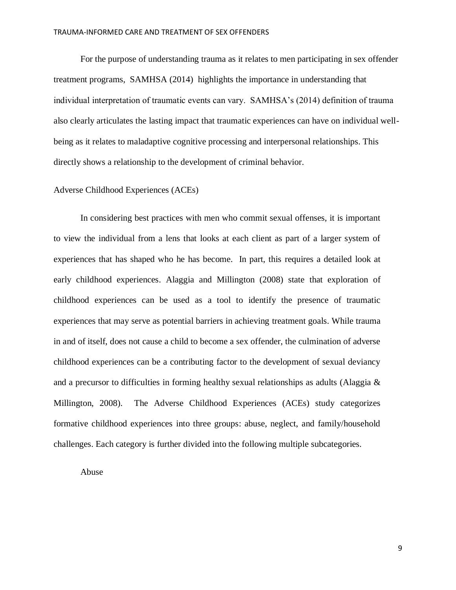For the purpose of understanding trauma as it relates to men participating in sex offender treatment programs, SAMHSA (2014) highlights the importance in understanding that individual interpretation of traumatic events can vary. SAMHSA's (2014) definition of trauma also clearly articulates the lasting impact that traumatic experiences can have on individual wellbeing as it relates to maladaptive cognitive processing and interpersonal relationships. This directly shows a relationship to the development of criminal behavior.

# Adverse Childhood Experiences (ACEs)

In considering best practices with men who commit sexual offenses, it is important to view the individual from a lens that looks at each client as part of a larger system of experiences that has shaped who he has become. In part, this requires a detailed look at early childhood experiences. Alaggia and Millington (2008) state that exploration of childhood experiences can be used as a tool to identify the presence of traumatic experiences that may serve as potential barriers in achieving treatment goals. While trauma in and of itself, does not cause a child to become a sex offender, the culmination of adverse childhood experiences can be a contributing factor to the development of sexual deviancy and a precursor to difficulties in forming healthy sexual relationships as adults (Alaggia & Millington, 2008). The Adverse Childhood Experiences (ACEs) study categorizes formative childhood experiences into three groups: abuse, neglect, and family/household challenges. Each category is further divided into the following multiple subcategories.

Abuse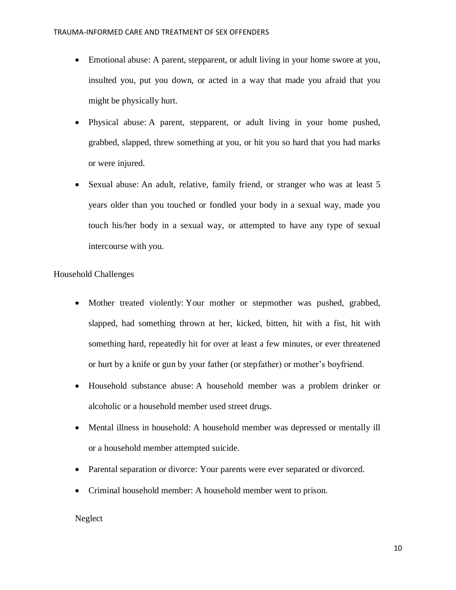- Emotional abuse: A parent, stepparent, or adult living in your home swore at you, insulted you, put you down, or acted in a way that made you afraid that you might be physically hurt.
- Physical abuse: A parent, stepparent, or adult living in your home pushed, grabbed, slapped, threw something at you, or hit you so hard that you had marks or were injured.
- Sexual abuse: An adult, relative, family friend, or stranger who was at least 5 years older than you touched or fondled your body in a sexual way, made you touch his/her body in a sexual way, or attempted to have any type of sexual intercourse with you.

# Household Challenges

- Mother treated violently: Your mother or stepmother was pushed, grabbed, slapped, had something thrown at her, kicked, bitten, hit with a fist, hit with something hard, repeatedly hit for over at least a few minutes, or ever threatened or hurt by a knife or gun by your father (or stepfather) or mother's boyfriend.
- Household substance abuse: A household member was a problem drinker or alcoholic or a household member used street drugs.
- Mental illness in household: A household member was depressed or mentally ill or a household member attempted suicide.
- Parental separation or divorce: Your parents were ever separated or divorced.
- Criminal household member: A household member went to prison.

# Neglect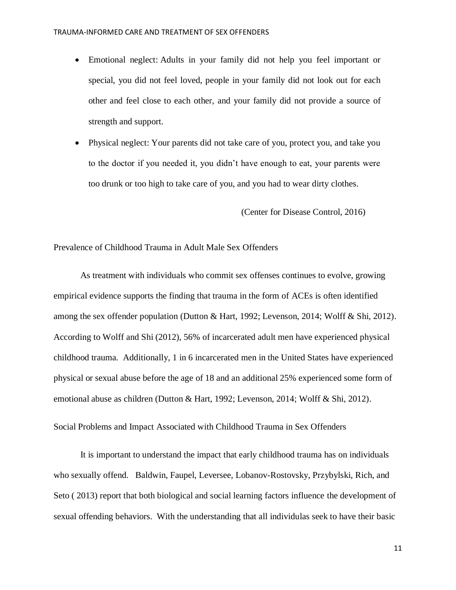- Emotional neglect: Adults in your family did not help you feel important or special, you did not feel loved, people in your family did not look out for each other and feel close to each other, and your family did not provide a source of strength and support.
- Physical neglect: Your parents did not take care of you, protect you, and take you to the doctor if you needed it, you didn't have enough to eat, your parents were too drunk or too high to take care of you, and you had to wear dirty clothes.

(Center for Disease Control, 2016)

Prevalence of Childhood Trauma in Adult Male Sex Offenders

As treatment with individuals who commit sex offenses continues to evolve, growing empirical evidence supports the finding that trauma in the form of ACEs is often identified among the sex offender population (Dutton & Hart, 1992; Levenson, 2014; Wolff & Shi, 2012). According to Wolff and Shi (2012), 56% of incarcerated adult men have experienced physical childhood trauma. Additionally, 1 in 6 incarcerated men in the United States have experienced physical or sexual abuse before the age of 18 and an additional 25% experienced some form of emotional abuse as children (Dutton & Hart, 1992; Levenson, 2014; Wolff & Shi, 2012).

Social Problems and Impact Associated with Childhood Trauma in Sex Offenders

It is important to understand the impact that early childhood trauma has on individuals who sexually offend. Baldwin, Faupel, Leversee, Lobanov-Rostovsky, Przybylski, Rich, and Seto ( 2013) report that both biological and social learning factors influence the development of sexual offending behaviors. With the understanding that all individulas seek to have their basic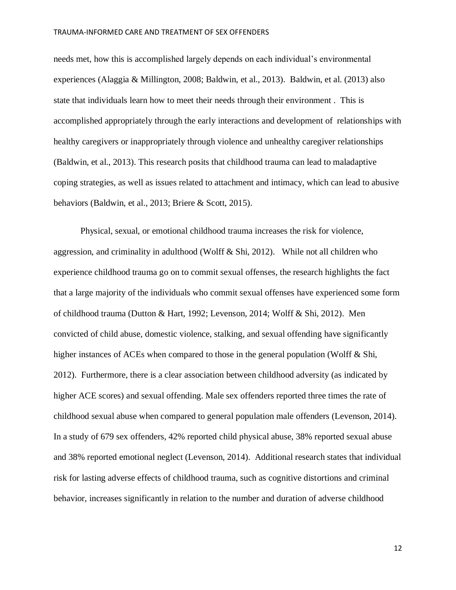needs met, how this is accomplished largely depends on each individual's environmental experiences (Alaggia & Millington, 2008; Baldwin, et al., 2013). Baldwin, et al. (2013) also state that individuals learn how to meet their needs through their environment . This is accomplished appropriately through the early interactions and development of relationships with healthy caregivers or inappropriately through violence and unhealthy caregiver relationships (Baldwin, et al., 2013). This research posits that childhood trauma can lead to maladaptive coping strategies, as well as issues related to attachment and intimacy, which can lead to abusive behaviors (Baldwin, et al., 2013; Briere & Scott, 2015).

Physical, sexual, or emotional childhood trauma increases the risk for violence, aggression, and criminality in adulthood (Wolff  $\&$  Shi, 2012). While not all children who experience childhood trauma go on to commit sexual offenses, the research highlights the fact that a large majority of the individuals who commit sexual offenses have experienced some form of childhood trauma (Dutton & Hart, 1992; Levenson, 2014; Wolff & Shi, 2012). Men convicted of child abuse, domestic violence, stalking, and sexual offending have significantly higher instances of ACEs when compared to those in the general population (Wolff & Shi, 2012). Furthermore, there is a clear association between childhood adversity (as indicated by higher ACE scores) and sexual offending. Male sex offenders reported three times the rate of childhood sexual abuse when compared to general population male offenders (Levenson, 2014). In a study of 679 sex offenders, 42% reported child physical abuse, 38% reported sexual abuse and 38% reported emotional neglect (Levenson, 2014). Additional research states that individual risk for lasting adverse effects of childhood trauma, such as cognitive distortions and criminal behavior, increases significantly in relation to the number and duration of adverse childhood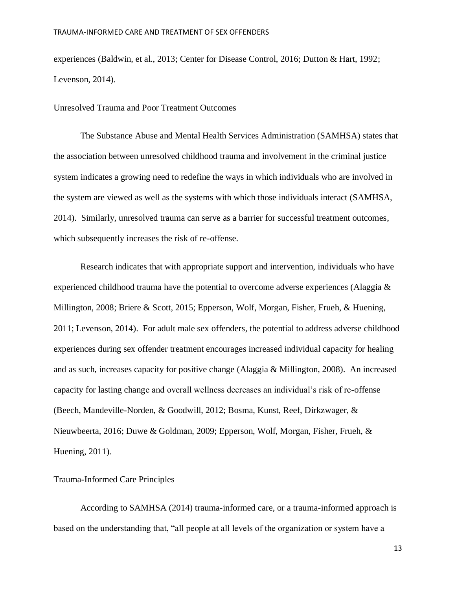experiences (Baldwin, et al., 2013; Center for Disease Control, 2016; Dutton & Hart, 1992; Levenson, 2014).

# Unresolved Trauma and Poor Treatment Outcomes

The Substance Abuse and Mental Health Services Administration (SAMHSA) states that the association between unresolved childhood trauma and involvement in the criminal justice system indicates a growing need to redefine the ways in which individuals who are involved in the system are viewed as well as the systems with which those individuals interact (SAMHSA, 2014). Similarly, unresolved trauma can serve as a barrier for successful treatment outcomes, which subsequently increases the risk of re-offense.

Research indicates that with appropriate support and intervention, individuals who have experienced childhood trauma have the potential to overcome adverse experiences (Alaggia  $\&$ Millington, 2008; Briere & Scott, 2015; Epperson, Wolf, Morgan, Fisher, Frueh, & Huening, 2011; Levenson, 2014). For adult male sex offenders, the potential to address adverse childhood experiences during sex offender treatment encourages increased individual capacity for healing and as such, increases capacity for positive change (Alaggia & Millington, 2008). An increased capacity for lasting change and overall wellness decreases an individual's risk of re-offense (Beech, Mandeville-Norden, & Goodwill, 2012; Bosma, Kunst, Reef, Dirkzwager, & Nieuwbeerta, 2016; Duwe & Goldman, 2009; Epperson, Wolf, Morgan, Fisher, Frueh, & Huening, 2011).

# Trauma-Informed Care Principles

According to SAMHSA (2014) trauma-informed care, or a trauma-informed approach is based on the understanding that, "all people at all levels of the organization or system have a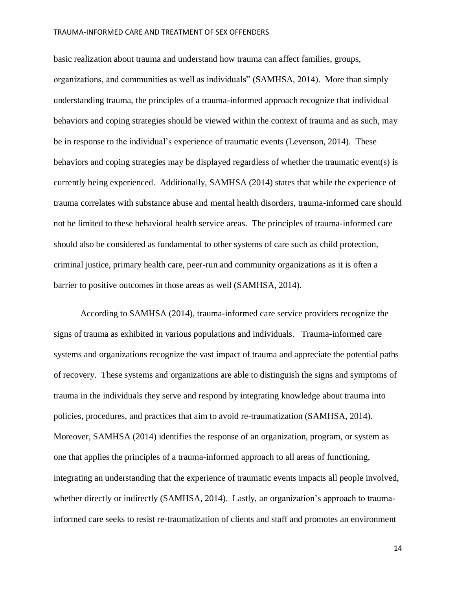basic realization about trauma and understand how trauma can affect families, groups, organizations, and communities as well as individuals" (SAMHSA, 2014). More than simply understanding trauma, the principles of a trauma-informed approach recognize that individual behaviors and coping strategies should be viewed within the context of trauma and as such, may be in response to the individual's experience of traumatic events (Levenson, 2014). These behaviors and coping strategies may be displayed regardless of whether the traumatic event(s) is currently being experienced. Additionally, SAMHSA (2014) states that while the experience of trauma correlates with substance abuse and mental health disorders, trauma-informed care should not be limited to these behavioral health service areas. The principles of trauma-informed care should also be considered as fundamental to other systems of care such as child protection, criminal justice, primary health care, peer-run and community organizations as it is often a barrier to positive outcomes in those areas as well (SAMHSA, 2014).

According to SAMHSA (2014), trauma-informed care service providers recognize the signs of trauma as exhibited in various populations and individuals. Trauma-informed care systems and organizations recognize the vast impact of trauma and appreciate the potential paths of recovery. These systems and organizations are able to distinguish the signs and symptoms of trauma in the individuals they serve and respond by integrating knowledge about trauma into policies, procedures, and practices that aim to avoid re-traumatization (SAMHSA, 2014). Moreover, SAMHSA (2014) identifies the response of an organization, program, or system as one that applies the principles of a trauma-informed approach to all areas of functioning, integrating an understanding that the experience of traumatic events impacts all people involved, whether directly or indirectly (SAMHSA, 2014). Lastly, an organization's approach to traumainformed care seeks to resist re-traumatization of clients and staff and promotes an environment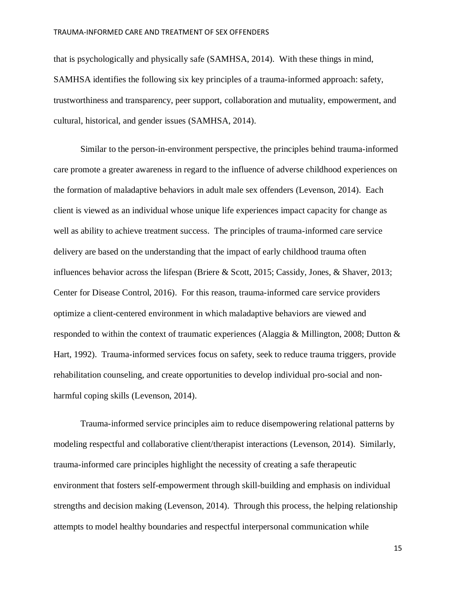that is psychologically and physically safe (SAMHSA, 2014). With these things in mind, SAMHSA identifies the following six key principles of a trauma-informed approach: safety, trustworthiness and transparency, peer support, collaboration and mutuality, empowerment, and cultural, historical, and gender issues (SAMHSA, 2014).

Similar to the person-in-environment perspective, the principles behind trauma-informed care promote a greater awareness in regard to the influence of adverse childhood experiences on the formation of maladaptive behaviors in adult male sex offenders (Levenson, 2014). Each client is viewed as an individual whose unique life experiences impact capacity for change as well as ability to achieve treatment success. The principles of trauma-informed care service delivery are based on the understanding that the impact of early childhood trauma often influences behavior across the lifespan (Briere & Scott, 2015; Cassidy, Jones, & Shaver, 2013; Center for Disease Control, 2016). For this reason, trauma-informed care service providers optimize a client-centered environment in which maladaptive behaviors are viewed and responded to within the context of traumatic experiences (Alaggia & Millington, 2008; Dutton & Hart, 1992). Trauma-informed services focus on safety, seek to reduce trauma triggers, provide rehabilitation counseling, and create opportunities to develop individual pro-social and nonharmful coping skills (Levenson, 2014).

Trauma-informed service principles aim to reduce disempowering relational patterns by modeling respectful and collaborative client/therapist interactions (Levenson, 2014). Similarly, trauma-informed care principles highlight the necessity of creating a safe therapeutic environment that fosters self-empowerment through skill-building and emphasis on individual strengths and decision making (Levenson, 2014). Through this process, the helping relationship attempts to model healthy boundaries and respectful interpersonal communication while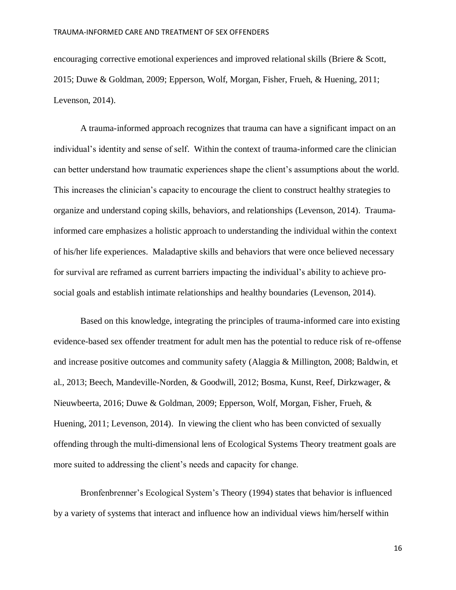encouraging corrective emotional experiences and improved relational skills (Briere & Scott, 2015; Duwe & Goldman, 2009; Epperson, Wolf, Morgan, Fisher, Frueh, & Huening, 2011; Levenson, 2014).

A trauma-informed approach recognizes that trauma can have a significant impact on an individual's identity and sense of self. Within the context of trauma-informed care the clinician can better understand how traumatic experiences shape the client's assumptions about the world. This increases the clinician's capacity to encourage the client to construct healthy strategies to organize and understand coping skills, behaviors, and relationships (Levenson, 2014). Traumainformed care emphasizes a holistic approach to understanding the individual within the context of his/her life experiences. Maladaptive skills and behaviors that were once believed necessary for survival are reframed as current barriers impacting the individual's ability to achieve prosocial goals and establish intimate relationships and healthy boundaries (Levenson, 2014).

Based on this knowledge, integrating the principles of trauma-informed care into existing evidence-based sex offender treatment for adult men has the potential to reduce risk of re-offense and increase positive outcomes and community safety (Alaggia & Millington, 2008; Baldwin, et al., 2013; Beech, Mandeville-Norden, & Goodwill, 2012; Bosma, Kunst, Reef, Dirkzwager, & Nieuwbeerta, 2016; Duwe & Goldman, 2009; Epperson, Wolf, Morgan, Fisher, Frueh, & Huening, 2011; Levenson, 2014). In viewing the client who has been convicted of sexually offending through the multi-dimensional lens of Ecological Systems Theory treatment goals are more suited to addressing the client's needs and capacity for change.

Bronfenbrenner's Ecological System's Theory (1994) states that behavior is influenced by a variety of systems that interact and influence how an individual views him/herself within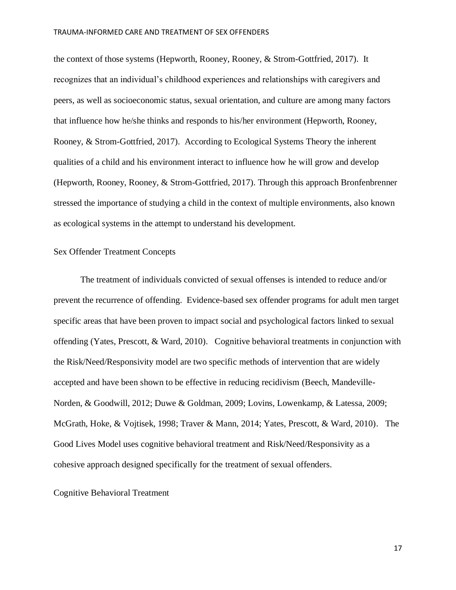the context of those systems (Hepworth, Rooney, Rooney, & Strom-Gottfried, 2017). It recognizes that an individual's childhood experiences and relationships with caregivers and peers, as well as socioeconomic status, sexual orientation, and culture are among many factors that influence how he/she thinks and responds to his/her environment (Hepworth, Rooney, Rooney, & Strom-Gottfried, 2017). According to Ecological Systems Theory the inherent qualities of a child and his environment interact to influence how he will grow and develop (Hepworth, Rooney, Rooney, & Strom-Gottfried, 2017). Through this approach Bronfenbrenner stressed the importance of studying a child in the context of multiple environments, also known as ecological systems in the attempt to understand his development.

# Sex Offender Treatment Concepts

The treatment of individuals convicted of sexual offenses is intended to reduce and/or prevent the recurrence of offending. Evidence-based sex offender programs for adult men target specific areas that have been proven to impact social and psychological factors linked to sexual offending (Yates, Prescott, & Ward, 2010). Cognitive behavioral treatments in conjunction with the Risk/Need/Responsivity model are two specific methods of intervention that are widely accepted and have been shown to be effective in reducing recidivism (Beech, Mandeville-Norden, & Goodwill, 2012; Duwe & Goldman, 2009; Lovins, Lowenkamp, & Latessa, 2009; McGrath, Hoke, & Vojtisek, 1998; Traver & Mann, 2014; Yates, Prescott, & Ward, 2010). The Good Lives Model uses cognitive behavioral treatment and Risk/Need/Responsivity as a cohesive approach designed specifically for the treatment of sexual offenders.

#### Cognitive Behavioral Treatment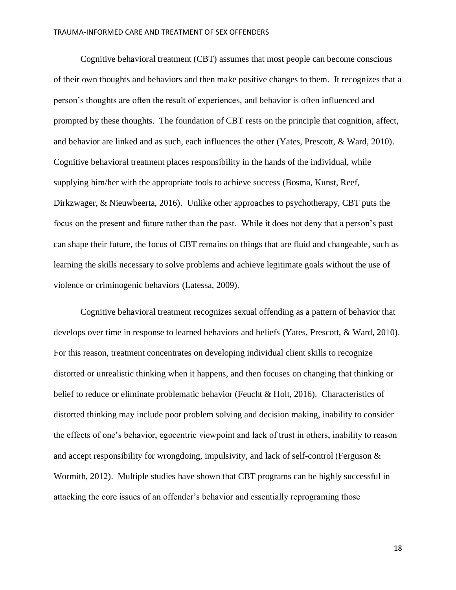Cognitive behavioral treatment (CBT) assumes that most people can become conscious of their own thoughts and behaviors and then make positive changes to them. It recognizes that a person's thoughts are often the result of experiences, and behavior is often influenced and prompted by these thoughts. The foundation of CBT rests on the principle that cognition, affect, and behavior are linked and as such, each influences the other (Yates, Prescott, & Ward, 2010). Cognitive behavioral treatment places responsibility in the hands of the individual, while supplying him/her with the appropriate tools to achieve success (Bosma, Kunst, Reef, Dirkzwager, & Nieuwbeerta, 2016). Unlike other approaches to psychotherapy, CBT puts the focus on the present and future rather than the past. While it does not deny that a person's past can shape their future, the focus of CBT remains on things that are fluid and changeable, such as learning the skills necessary to solve problems and achieve legitimate goals without the use of violence or criminogenic behaviors (Latessa, 2009).

Cognitive behavioral treatment recognizes sexual offending as a pattern of behavior that develops over time in response to learned behaviors and beliefs (Yates, Prescott, & Ward, 2010). For this reason, treatment concentrates on developing individual client skills to recognize distorted or unrealistic thinking when it happens, and then focuses on changing that thinking or belief to reduce or eliminate problematic behavior (Feucht & Holt, 2016). Characteristics of distorted thinking may include poor problem solving and decision making, inability to consider the effects of one's behavior, egocentric viewpoint and lack of trust in others, inability to reason and accept responsibility for wrongdoing, impulsivity, and lack of self-control (Ferguson & Wormith, 2012). Multiple studies have shown that CBT programs can be highly successful in attacking the core issues of an offender's behavior and essentially reprograming those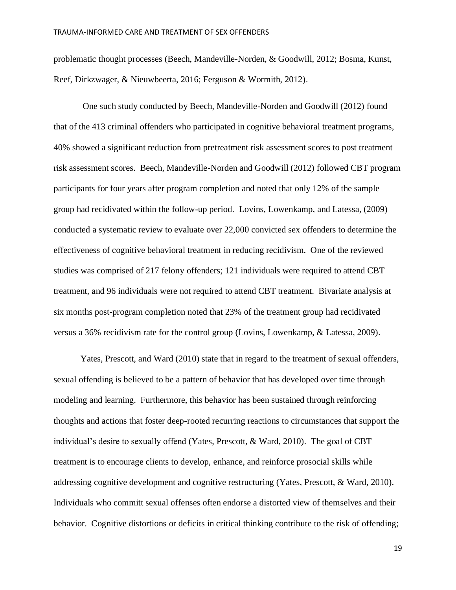problematic thought processes (Beech, Mandeville-Norden, & Goodwill, 2012; Bosma, Kunst, Reef, Dirkzwager, & Nieuwbeerta, 2016; Ferguson & Wormith, 2012).

One such study conducted by Beech, Mandeville-Norden and Goodwill (2012) found that of the 413 criminal offenders who participated in cognitive behavioral treatment programs, 40% showed a significant reduction from pretreatment risk assessment scores to post treatment risk assessment scores. Beech, Mandeville-Norden and Goodwill (2012) followed CBT program participants for four years after program completion and noted that only 12% of the sample group had recidivated within the follow-up period. Lovins, Lowenkamp, and Latessa, (2009) conducted a systematic review to evaluate over 22,000 convicted sex offenders to determine the effectiveness of cognitive behavioral treatment in reducing recidivism. One of the reviewed studies was comprised of 217 felony offenders; 121 individuals were required to attend CBT treatment, and 96 individuals were not required to attend CBT treatment. Bivariate analysis at six months post-program completion noted that 23% of the treatment group had recidivated versus a 36% recidivism rate for the control group (Lovins, Lowenkamp, & Latessa, 2009).

Yates, Prescott, and Ward (2010) state that in regard to the treatment of sexual offenders, sexual offending is believed to be a pattern of behavior that has developed over time through modeling and learning. Furthermore, this behavior has been sustained through reinforcing thoughts and actions that foster deep-rooted recurring reactions to circumstances that support the individual's desire to sexually offend (Yates, Prescott, & Ward, 2010). The goal of CBT treatment is to encourage clients to develop, enhance, and reinforce prosocial skills while addressing cognitive development and cognitive restructuring (Yates, Prescott, & Ward, 2010). Individuals who committ sexual offenses often endorse a distorted view of themselves and their behavior. Cognitive distortions or deficits in critical thinking contribute to the risk of offending;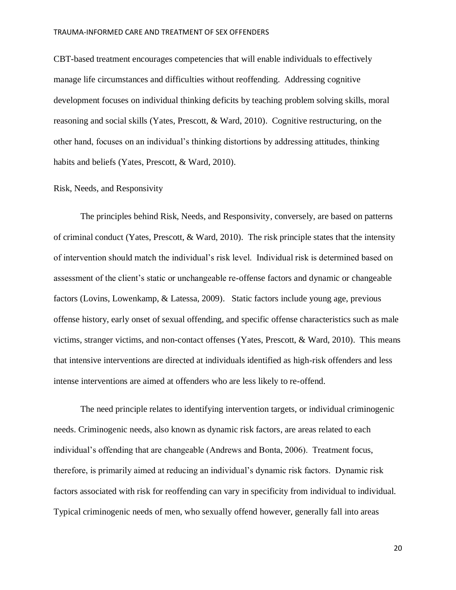CBT-based treatment encourages competencies that will enable individuals to effectively manage life circumstances and difficulties without reoffending. Addressing cognitive development focuses on individual thinking deficits by teaching problem solving skills, moral reasoning and social skills (Yates, Prescott, & Ward, 2010). Cognitive restructuring, on the other hand, focuses on an individual's thinking distortions by addressing attitudes, thinking habits and beliefs (Yates, Prescott, & Ward, 2010).

#### Risk, Needs, and Responsivity

The principles behind Risk, Needs, and Responsivity, conversely, are based on patterns of criminal conduct (Yates, Prescott, & Ward, 2010). The risk principle states that the intensity of intervention should match the individual's risk level. Individual risk is determined based on assessment of the client's static or unchangeable re-offense factors and dynamic or changeable factors (Lovins, Lowenkamp, & Latessa, 2009). Static factors include young age, previous offense history, early onset of sexual offending, and specific offense characteristics such as male victims, stranger victims, and non-contact offenses (Yates, Prescott, & Ward, 2010). This means that intensive interventions are directed at individuals identified as high-risk offenders and less intense interventions are aimed at offenders who are less likely to re-offend.

The need principle relates to identifying intervention targets, or individual criminogenic needs. Criminogenic needs, also known as dynamic risk factors, are areas related to each individual's offending that are changeable (Andrews and Bonta, 2006). Treatment focus, therefore, is primarily aimed at reducing an individual's dynamic risk factors. Dynamic risk factors associated with risk for reoffending can vary in specificity from individual to individual. Typical criminogenic needs of men, who sexually offend however, generally fall into areas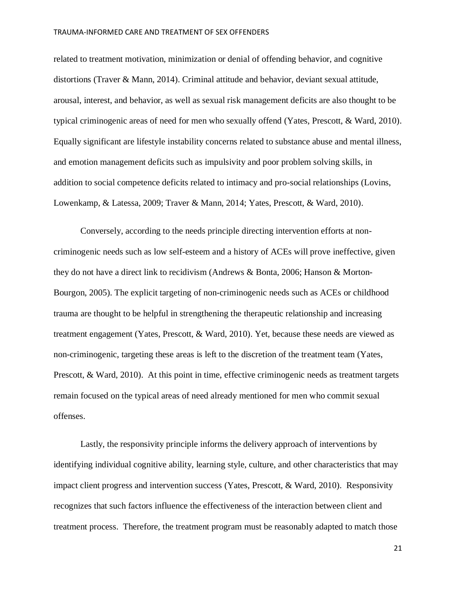related to treatment motivation, minimization or denial of offending behavior, and cognitive distortions (Traver & Mann, 2014). Criminal attitude and behavior, deviant sexual attitude, arousal, interest, and behavior, as well as sexual risk management deficits are also thought to be typical criminogenic areas of need for men who sexually offend (Yates, Prescott, & Ward, 2010). Equally significant are lifestyle instability concerns related to substance abuse and mental illness, and emotion management deficits such as impulsivity and poor problem solving skills, in addition to social competence deficits related to intimacy and pro-social relationships (Lovins, Lowenkamp, & Latessa, 2009; Traver & Mann, 2014; Yates, Prescott, & Ward, 2010).

Conversely, according to the needs principle directing intervention efforts at noncriminogenic needs such as low self-esteem and a history of ACEs will prove ineffective, given they do not have a direct link to recidivism (Andrews & Bonta, 2006; Hanson & Morton-Bourgon, 2005). The explicit targeting of non-criminogenic needs such as ACEs or childhood trauma are thought to be helpful in strengthening the therapeutic relationship and increasing treatment engagement (Yates, Prescott, & Ward, 2010). Yet, because these needs are viewed as non-criminogenic, targeting these areas is left to the discretion of the treatment team (Yates, Prescott, & Ward, 2010). At this point in time, effective criminogenic needs as treatment targets remain focused on the typical areas of need already mentioned for men who commit sexual offenses.

Lastly, the responsivity principle informs the delivery approach of interventions by identifying individual cognitive ability, learning style, culture, and other characteristics that may impact client progress and intervention success (Yates, Prescott, & Ward, 2010). Responsivity recognizes that such factors influence the effectiveness of the interaction between client and treatment process. Therefore, the treatment program must be reasonably adapted to match those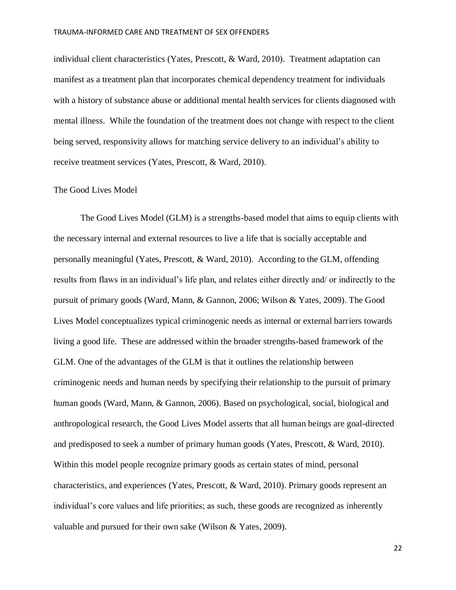individual client characteristics (Yates, Prescott, & Ward, 2010). Treatment adaptation can manifest as a treatment plan that incorporates chemical dependency treatment for individuals with a history of substance abuse or additional mental health services for clients diagnosed with mental illness. While the foundation of the treatment does not change with respect to the client being served, responsivity allows for matching service delivery to an individual's ability to receive treatment services (Yates, Prescott, & Ward, 2010).

#### The Good Lives Model

The Good Lives Model (GLM) is a strengths-based model that aims to equip clients with the necessary internal and external resources to live a life that is socially acceptable and personally meaningful (Yates, Prescott, & Ward, 2010). According to the GLM, offending results from flaws in an individual's life plan, and relates either directly and/ or indirectly to the pursuit of primary goods (Ward, Mann, & Gannon, 2006; Wilson & Yates, 2009). The Good Lives Model conceptualizes typical criminogenic needs as internal or external barriers towards living a good life. These are addressed within the broader strengths-based framework of the GLM. One of the advantages of the GLM is that it outlines the relationship between criminogenic needs and human needs by specifying their relationship to the pursuit of primary human goods (Ward, Mann, & Gannon, 2006). Based on psychological, social, biological and anthropological research, the Good Lives Model asserts that all human beings are goal-directed and predisposed to seek a number of primary human goods (Yates, Prescott, & Ward, 2010). Within this model people recognize primary goods as certain states of mind, personal characteristics, and experiences (Yates, Prescott, & Ward, 2010). Primary goods represent an individual's core values and life priorities; as such, these goods are recognized as inherently valuable and pursued for their own sake (Wilson & Yates, 2009).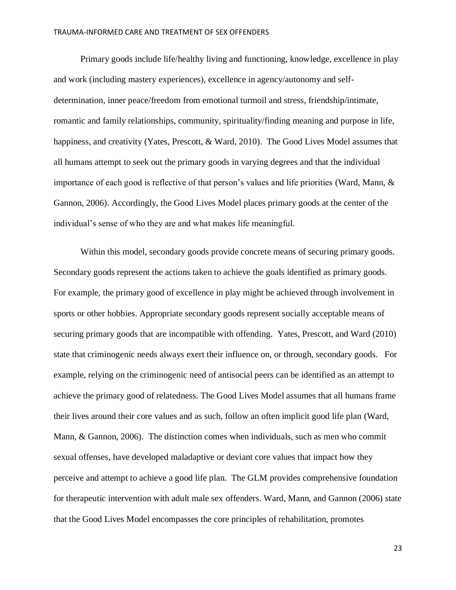Primary goods include life/healthy living and functioning, knowledge, excellence in play and work (including mastery experiences), excellence in agency/autonomy and selfdetermination, inner peace/freedom from emotional turmoil and stress, friendship/intimate, romantic and family relationships, community, spirituality/finding meaning and purpose in life, happiness, and creativity (Yates, Prescott, & Ward, 2010). The Good Lives Model assumes that all humans attempt to seek out the primary goods in varying degrees and that the individual importance of each good is reflective of that person's values and life priorities (Ward, Mann, & Gannon, 2006). Accordingly, the Good Lives Model places primary goods at the center of the individual's sense of who they are and what makes life meaningful.

Within this model, secondary goods provide concrete means of securing primary goods. Secondary goods represent the actions taken to achieve the goals identified as primary goods. For example, the primary good of excellence in play might be achieved through involvement in sports or other hobbies. Appropriate secondary goods represent socially acceptable means of securing primary goods that are incompatible with offending. Yates, Prescott, and Ward (2010) state that criminogenic needs always exert their influence on, or through, secondary goods. For example, relying on the criminogenic need of antisocial peers can be identified as an attempt to achieve the primary good of relatedness. The Good Lives Model assumes that all humans frame their lives around their core values and as such, follow an often implicit good life plan (Ward, Mann, & Gannon, 2006). The distinction comes when individuals, such as men who commit sexual offenses, have developed maladaptive or deviant core values that impact how they perceive and attempt to achieve a good life plan. The GLM provides comprehensive foundation for therapeutic intervention with adult male sex offenders. Ward, Mann, and Gannon (2006) state that the Good Lives Model encompasses the core principles of rehabilitation, promotes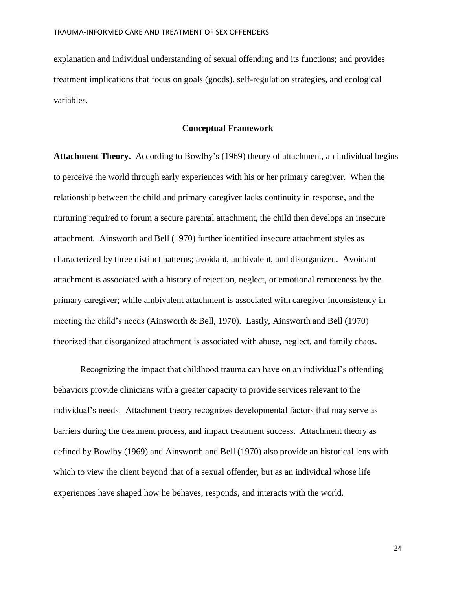explanation and individual understanding of sexual offending and its functions; and provides treatment implications that focus on goals (goods), self-regulation strategies, and ecological variables.

#### **Conceptual Framework**

**Attachment Theory.** According to Bowlby's (1969) theory of attachment, an individual begins to perceive the world through early experiences with his or her primary caregiver. When the relationship between the child and primary caregiver lacks continuity in response, and the nurturing required to forum a secure parental attachment, the child then develops an insecure attachment. Ainsworth and Bell (1970) further identified insecure attachment styles as characterized by three distinct patterns; avoidant, ambivalent, and disorganized. Avoidant attachment is associated with a history of rejection, neglect, or emotional remoteness by the primary caregiver; while ambivalent attachment is associated with caregiver inconsistency in meeting the child's needs (Ainsworth & Bell, 1970). Lastly, Ainsworth and Bell (1970) theorized that disorganized attachment is associated with abuse, neglect, and family chaos.

Recognizing the impact that childhood trauma can have on an individual's offending behaviors provide clinicians with a greater capacity to provide services relevant to the individual's needs. Attachment theory recognizes developmental factors that may serve as barriers during the treatment process, and impact treatment success. Attachment theory as defined by Bowlby (1969) and Ainsworth and Bell (1970) also provide an historical lens with which to view the client beyond that of a sexual offender, but as an individual whose life experiences have shaped how he behaves, responds, and interacts with the world.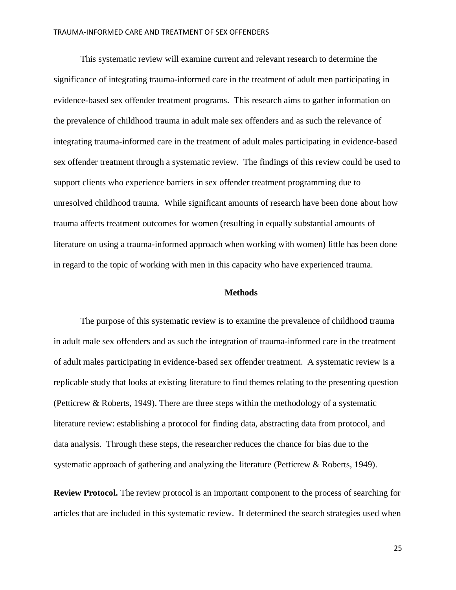This systematic review will examine current and relevant research to determine the significance of integrating trauma-informed care in the treatment of adult men participating in evidence-based sex offender treatment programs. This research aims to gather information on the prevalence of childhood trauma in adult male sex offenders and as such the relevance of integrating trauma-informed care in the treatment of adult males participating in evidence-based sex offender treatment through a systematic review. The findings of this review could be used to support clients who experience barriers in sex offender treatment programming due to unresolved childhood trauma. While significant amounts of research have been done about how trauma affects treatment outcomes for women (resulting in equally substantial amounts of literature on using a trauma-informed approach when working with women) little has been done in regard to the topic of working with men in this capacity who have experienced trauma.

#### **Methods**

The purpose of this systematic review is to examine the prevalence of childhood trauma in adult male sex offenders and as such the integration of trauma-informed care in the treatment of adult males participating in evidence-based sex offender treatment. A systematic review is a replicable study that looks at existing literature to find themes relating to the presenting question (Petticrew & Roberts, 1949). There are three steps within the methodology of a systematic literature review: establishing a protocol for finding data, abstracting data from protocol, and data analysis. Through these steps, the researcher reduces the chance for bias due to the systematic approach of gathering and analyzing the literature (Petticrew & Roberts, 1949).

**Review Protocol.** The review protocol is an important component to the process of searching for articles that are included in this systematic review. It determined the search strategies used when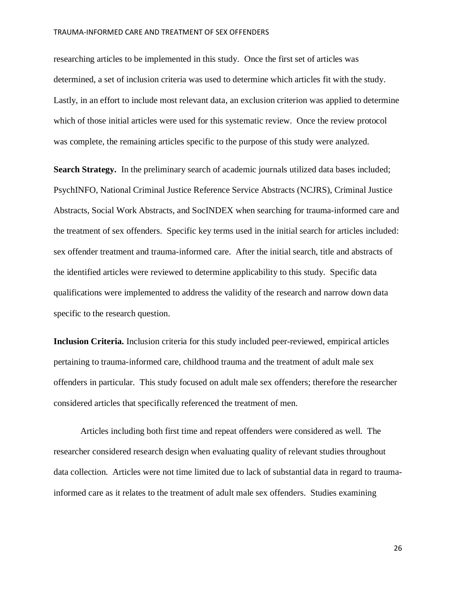researching articles to be implemented in this study. Once the first set of articles was determined, a set of inclusion criteria was used to determine which articles fit with the study. Lastly, in an effort to include most relevant data, an exclusion criterion was applied to determine which of those initial articles were used for this systematic review. Once the review protocol was complete, the remaining articles specific to the purpose of this study were analyzed.

**Search Strategy.** In the preliminary search of academic journals utilized data bases included; PsychINFO, National Criminal Justice Reference Service Abstracts (NCJRS), Criminal Justice Abstracts, Social Work Abstracts, and SocINDEX when searching for trauma-informed care and the treatment of sex offenders. Specific key terms used in the initial search for articles included: sex offender treatment and trauma-informed care. After the initial search, title and abstracts of the identified articles were reviewed to determine applicability to this study. Specific data qualifications were implemented to address the validity of the research and narrow down data specific to the research question.

**Inclusion Criteria.** Inclusion criteria for this study included peer-reviewed, empirical articles pertaining to trauma-informed care, childhood trauma and the treatment of adult male sex offenders in particular. This study focused on adult male sex offenders; therefore the researcher considered articles that specifically referenced the treatment of men.

Articles including both first time and repeat offenders were considered as well. The researcher considered research design when evaluating quality of relevant studies throughout data collection. Articles were not time limited due to lack of substantial data in regard to traumainformed care as it relates to the treatment of adult male sex offenders. Studies examining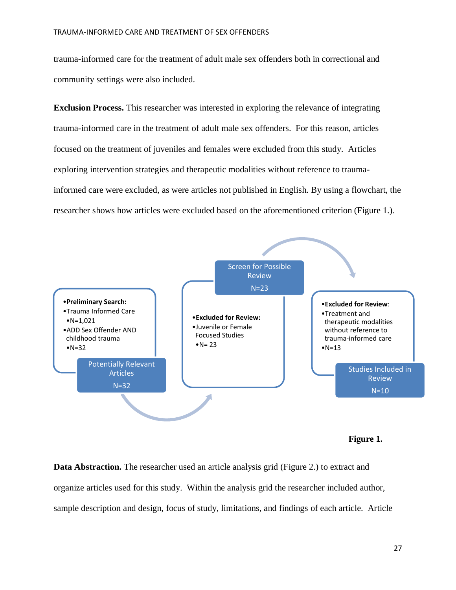trauma-informed care for the treatment of adult male sex offenders both in correctional and community settings were also included.

**Exclusion Process.** This researcher was interested in exploring the relevance of integrating trauma-informed care in the treatment of adult male sex offenders. For this reason, articles focused on the treatment of juveniles and females were excluded from this study. Articles exploring intervention strategies and therapeutic modalities without reference to traumainformed care were excluded, as were articles not published in English. By using a flowchart, the researcher shows how articles were excluded based on the aforementioned criterion (Figure 1.).



**Figure 1.**

**Data Abstraction.** The researcher used an article analysis grid (Figure 2.) to extract and organize articles used for this study. Within the analysis grid the researcher included author, sample description and design, focus of study, limitations, and findings of each article. Article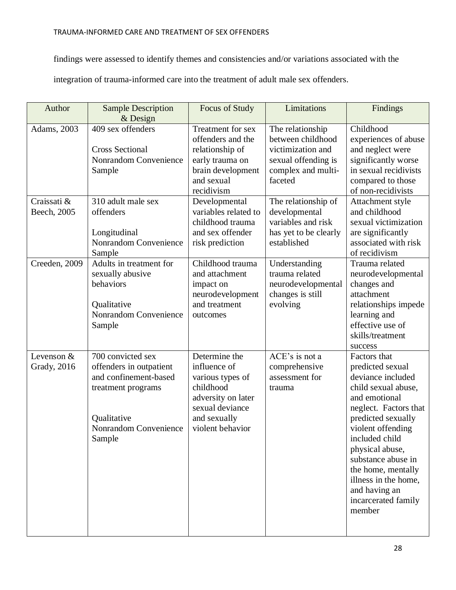findings were assessed to identify themes and consistencies and/or variations associated with the

integration of trauma-informed care into the treatment of adult male sex offenders.

| Author                            | <b>Sample Description</b><br>$&$ Design                                                                                                       | Focus of Study                                                                                                                              | Limitations                                                                                                        | Findings                                                                                                                                                                                                                                                                                                                     |
|-----------------------------------|-----------------------------------------------------------------------------------------------------------------------------------------------|---------------------------------------------------------------------------------------------------------------------------------------------|--------------------------------------------------------------------------------------------------------------------|------------------------------------------------------------------------------------------------------------------------------------------------------------------------------------------------------------------------------------------------------------------------------------------------------------------------------|
| Adams, 2003                       | 409 sex offenders<br><b>Cross Sectional</b><br><b>Nonrandom Convenience</b><br>Sample                                                         | Treatment for sex<br>offenders and the<br>relationship of<br>early trauma on<br>brain development<br>and sexual<br>recidivism               | The relationship<br>between childhood<br>victimization and<br>sexual offending is<br>complex and multi-<br>faceted | Childhood<br>experiences of abuse<br>and neglect were<br>significantly worse<br>in sexual recidivists<br>compared to those<br>of non-recidivists                                                                                                                                                                             |
| Craissati &<br>Beech, 2005        | 310 adult male sex<br>offenders<br>Longitudinal<br>Nonrandom Convenience<br>Sample                                                            | Developmental<br>variables related to<br>childhood trauma<br>and sex offender<br>risk prediction                                            | The relationship of<br>developmental<br>variables and risk<br>has yet to be clearly<br>established                 | Attachment style<br>and childhood<br>sexual victimization<br>are significantly<br>associated with risk<br>of recidivism                                                                                                                                                                                                      |
| Creeden, 2009                     | Adults in treatment for<br>sexually abusive<br>behaviors<br>Qualitative<br>Nonrandom Convenience<br>Sample                                    | Childhood trauma<br>and attachment<br>impact on<br>neurodevelopment<br>and treatment<br>outcomes                                            | Understanding<br>trauma related<br>neurodevelopmental<br>changes is still<br>evolving                              | Trauma related<br>neurodevelopmental<br>changes and<br>attachment<br>relationships impede<br>learning and<br>effective use of<br>skills/treatment<br>success                                                                                                                                                                 |
| Levenson &<br><b>Grady</b> , 2016 | 700 convicted sex<br>offenders in outpatient<br>and confinement-based<br>treatment programs<br>Qualitative<br>Nonrandom Convenience<br>Sample | Determine the<br>influence of<br>various types of<br>childhood<br>adversity on later<br>sexual deviance<br>and sexually<br>violent behavior | ACE's is not a<br>comprehensive<br>assessment for<br>trauma                                                        | Factors that<br>predicted sexual<br>deviance included<br>child sexual abuse,<br>and emotional<br>neglect. Factors that<br>predicted sexually<br>violent offending<br>included child<br>physical abuse,<br>substance abuse in<br>the home, mentally<br>illness in the home,<br>and having an<br>incarcerated family<br>member |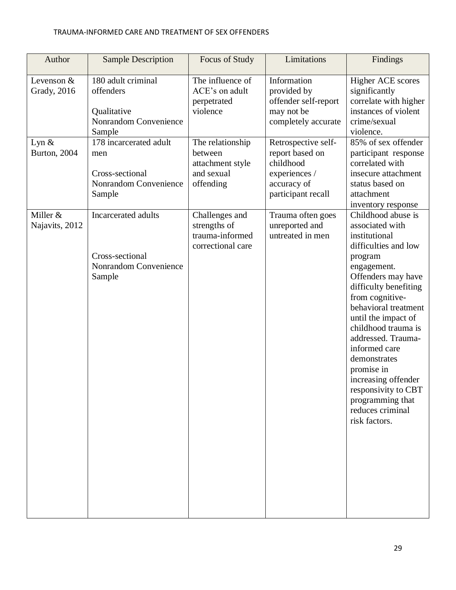| Author                              | <b>Sample Description</b>                                                           | Focus of Study                                                             | Limitations                                                                                               | Findings                                                                                                                                                                                                                                                                                                                                                                                                                     |
|-------------------------------------|-------------------------------------------------------------------------------------|----------------------------------------------------------------------------|-----------------------------------------------------------------------------------------------------------|------------------------------------------------------------------------------------------------------------------------------------------------------------------------------------------------------------------------------------------------------------------------------------------------------------------------------------------------------------------------------------------------------------------------------|
| Levenson $&$<br><b>Grady</b> , 2016 | 180 adult criminal<br>offenders<br>Qualitative<br>Nonrandom Convenience<br>Sample   | The influence of<br>ACE's on adult<br>perpetrated<br>violence              | Information<br>provided by<br>offender self-report<br>may not be<br>completely accurate                   | <b>Higher ACE scores</b><br>significantly<br>correlate with higher<br>instances of violent<br>crime/sexual<br>violence.                                                                                                                                                                                                                                                                                                      |
| Lyn $&$<br><b>Burton</b> , 2004     | 178 incarcerated adult<br>men<br>Cross-sectional<br>Nonrandom Convenience<br>Sample | The relationship<br>between<br>attachment style<br>and sexual<br>offending | Retrospective self-<br>report based on<br>childhood<br>experiences /<br>accuracy of<br>participant recall | 85% of sex offender<br>participant response<br>correlated with<br>insecure attachment<br>status based on<br>attachment<br>inventory response                                                                                                                                                                                                                                                                                 |
| Miller &<br>Najavits, 2012          | Incarcerated adults<br>Cross-sectional<br>Nonrandom Convenience<br>Sample           | Challenges and<br>strengths of<br>trauma-informed<br>correctional care     | Trauma often goes<br>unreported and<br>untreated in men                                                   | Childhood abuse is<br>associated with<br>institutional<br>difficulties and low<br>program<br>engagement.<br>Offenders may have<br>difficulty benefiting<br>from cognitive-<br>behavioral treatment<br>until the impact of<br>childhood trauma is<br>addressed. Trauma-<br>informed care<br>demonstrates<br>promise in<br>increasing offender<br>responsivity to CBT<br>programming that<br>reduces criminal<br>risk factors. |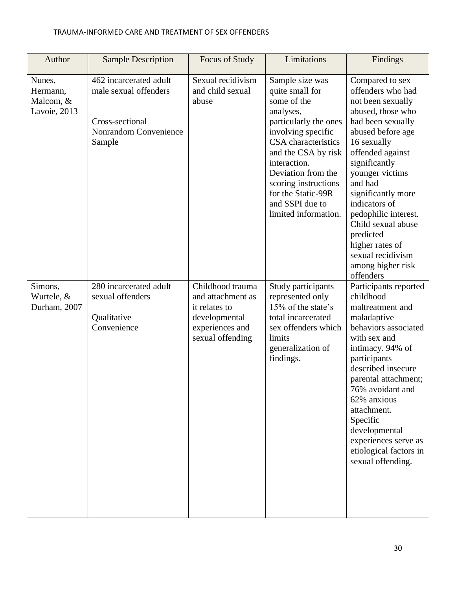| Author                                          | <b>Sample Description</b>                                                                                    | Focus of Study                                                                                                 | Limitations                                                                                                                                                                                                                                                                                | Findings                                                                                                                                                                                                                                                                                                                                                                               |
|-------------------------------------------------|--------------------------------------------------------------------------------------------------------------|----------------------------------------------------------------------------------------------------------------|--------------------------------------------------------------------------------------------------------------------------------------------------------------------------------------------------------------------------------------------------------------------------------------------|----------------------------------------------------------------------------------------------------------------------------------------------------------------------------------------------------------------------------------------------------------------------------------------------------------------------------------------------------------------------------------------|
| Nunes,<br>Hermann,<br>Malcom, &<br>Lavoie, 2013 | 462 incarcerated adult<br>male sexual offenders<br>Cross-sectional<br><b>Nonrandom Convenience</b><br>Sample | Sexual recidivism<br>and child sexual<br>abuse                                                                 | Sample size was<br>quite small for<br>some of the<br>analyses,<br>particularly the ones<br>involving specific<br>CSA characteristics<br>and the CSA by risk<br>interaction.<br>Deviation from the<br>scoring instructions<br>for the Static-99R<br>and SSPI due to<br>limited information. | Compared to sex<br>offenders who had<br>not been sexually<br>abused, those who<br>had been sexually<br>abused before age<br>16 sexually<br>offended against<br>significantly<br>younger victims<br>and had<br>significantly more<br>indicators of<br>pedophilic interest.<br>Child sexual abuse<br>predicted<br>higher rates of<br>sexual recidivism<br>among higher risk<br>offenders |
| Simons,<br>Wurtele, &<br>Durham, 2007           | 280 incarcerated adult<br>sexual offenders<br>Qualitative<br>Convenience                                     | Childhood trauma<br>and attachment as<br>it relates to<br>developmental<br>experiences and<br>sexual offending | Study participants<br>represented only<br>15% of the state's<br>total incarcerated<br>sex offenders which<br>limits<br>generalization of<br>findings.                                                                                                                                      | Participants reported<br>childhood<br>maltreatment and<br>maladaptive<br>behaviors associated<br>with sex and<br>intimacy. 94% of<br>participants<br>described insecure<br>parental attachment;<br>76% avoidant and<br>62% anxious<br>attachment.<br>Specific<br>developmental<br>experiences serve as<br>etiological factors in<br>sexual offending.                                  |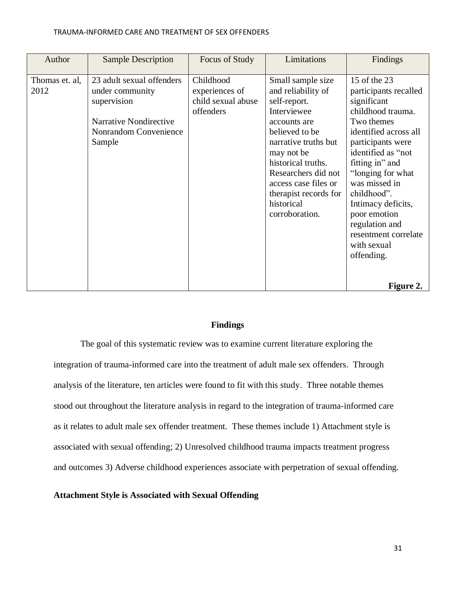| Author                 | <b>Sample Description</b>                                                                                                       | Focus of Study                                                 | Limitations                                                                                                                                                                                                                                                                  | Findings                                                                                                                                                                                                                                                                                                                                                      |
|------------------------|---------------------------------------------------------------------------------------------------------------------------------|----------------------------------------------------------------|------------------------------------------------------------------------------------------------------------------------------------------------------------------------------------------------------------------------------------------------------------------------------|---------------------------------------------------------------------------------------------------------------------------------------------------------------------------------------------------------------------------------------------------------------------------------------------------------------------------------------------------------------|
| Thomas et. al,<br>2012 | 23 adult sexual offenders<br>under community<br>supervision<br><b>Narrative Nondirective</b><br>Nonrandom Convenience<br>Sample | Childhood<br>experiences of<br>child sexual abuse<br>offenders | Small sample size<br>and reliability of<br>self-report.<br>Interviewee<br>accounts are<br>believed to be<br>narrative truths but<br>may not be<br>historical truths.<br>Researchers did not<br>access case files or<br>therapist records for<br>historical<br>corroboration. | 15 of the 23<br>participants recalled<br>significant<br>childhood trauma.<br>Two themes<br>identified across all<br>participants were<br>identified as "not<br>fitting in" and<br>"longing for what<br>was missed in<br>childhood".<br>Intimacy deficits,<br>poor emotion<br>regulation and<br>resentment correlate<br>with sexual<br>offending.<br>Figure 2. |

# **Findings**

The goal of this systematic review was to examine current literature exploring the integration of trauma-informed care into the treatment of adult male sex offenders. Through analysis of the literature, ten articles were found to fit with this study. Three notable themes stood out throughout the literature analysis in regard to the integration of trauma-informed care as it relates to adult male sex offender treatment. These themes include 1) Attachment style is associated with sexual offending; 2) Unresolved childhood trauma impacts treatment progress and outcomes 3) Adverse childhood experiences associate with perpetration of sexual offending.

### **Attachment Style is Associated with Sexual Offending**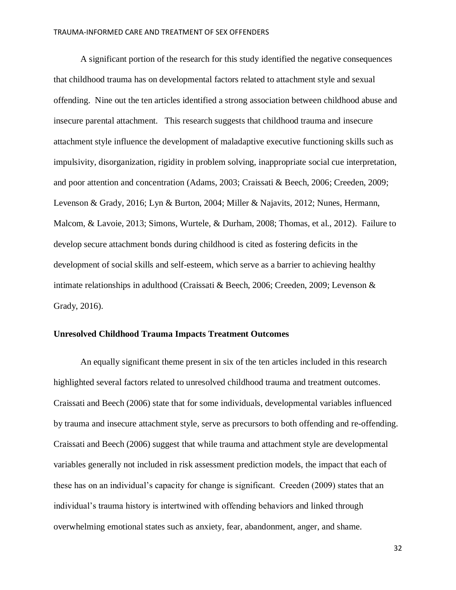A significant portion of the research for this study identified the negative consequences that childhood trauma has on developmental factors related to attachment style and sexual offending. Nine out the ten articles identified a strong association between childhood abuse and insecure parental attachment. This research suggests that childhood trauma and insecure attachment style influence the development of maladaptive executive functioning skills such as impulsivity, disorganization, rigidity in problem solving, inappropriate social cue interpretation, and poor attention and concentration (Adams, 2003; Craissati & Beech, 2006; Creeden, 2009; Levenson & Grady, 2016; Lyn & Burton, 2004; Miller & Najavits, 2012; Nunes, Hermann, Malcom, & Lavoie, 2013; Simons, Wurtele, & Durham, 2008; Thomas, et al., 2012). Failure to develop secure attachment bonds during childhood is cited as fostering deficits in the development of social skills and self-esteem, which serve as a barrier to achieving healthy intimate relationships in adulthood (Craissati & Beech, 2006; Creeden, 2009; Levenson & Grady, 2016).

# **Unresolved Childhood Trauma Impacts Treatment Outcomes**

An equally significant theme present in six of the ten articles included in this research highlighted several factors related to unresolved childhood trauma and treatment outcomes. Craissati and Beech (2006) state that for some individuals, developmental variables influenced by trauma and insecure attachment style, serve as precursors to both offending and re-offending. Craissati and Beech (2006) suggest that while trauma and attachment style are developmental variables generally not included in risk assessment prediction models, the impact that each of these has on an individual's capacity for change is significant. Creeden (2009) states that an individual's trauma history is intertwined with offending behaviors and linked through overwhelming emotional states such as anxiety, fear, abandonment, anger, and shame.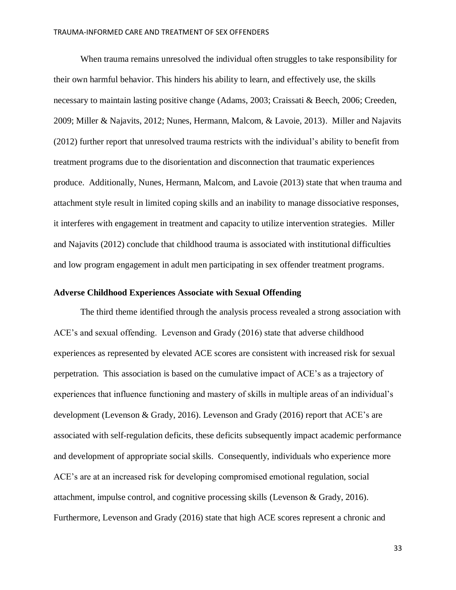When trauma remains unresolved the individual often struggles to take responsibility for their own harmful behavior. This hinders his ability to learn, and effectively use, the skills necessary to maintain lasting positive change (Adams, 2003; Craissati & Beech, 2006; Creeden, 2009; Miller & Najavits, 2012; Nunes, Hermann, Malcom, & Lavoie, 2013). Miller and Najavits (2012) further report that unresolved trauma restricts with the individual's ability to benefit from treatment programs due to the disorientation and disconnection that traumatic experiences produce. Additionally, Nunes, Hermann, Malcom, and Lavoie (2013) state that when trauma and attachment style result in limited coping skills and an inability to manage dissociative responses, it interferes with engagement in treatment and capacity to utilize intervention strategies. Miller and Najavits (2012) conclude that childhood trauma is associated with institutional difficulties and low program engagement in adult men participating in sex offender treatment programs.

# **Adverse Childhood Experiences Associate with Sexual Offending**

The third theme identified through the analysis process revealed a strong association with ACE's and sexual offending. Levenson and Grady (2016) state that adverse childhood experiences as represented by elevated ACE scores are consistent with increased risk for sexual perpetration. This association is based on the cumulative impact of ACE's as a trajectory of experiences that influence functioning and mastery of skills in multiple areas of an individual's development (Levenson & Grady, 2016). Levenson and Grady (2016) report that ACE's are associated with self-regulation deficits, these deficits subsequently impact academic performance and development of appropriate social skills. Consequently, individuals who experience more ACE's are at an increased risk for developing compromised emotional regulation, social attachment, impulse control, and cognitive processing skills (Levenson & Grady, 2016). Furthermore, Levenson and Grady (2016) state that high ACE scores represent a chronic and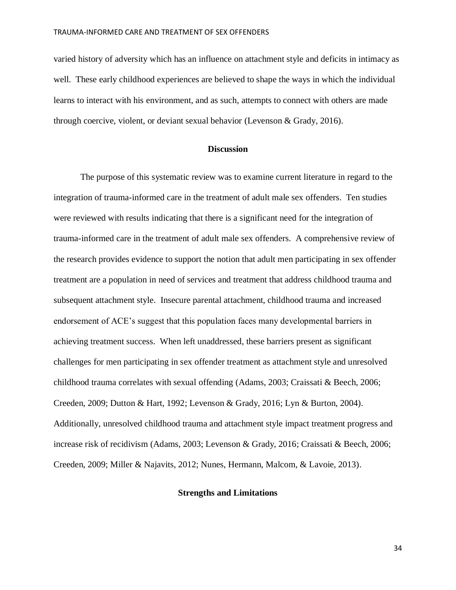varied history of adversity which has an influence on attachment style and deficits in intimacy as well. These early childhood experiences are believed to shape the ways in which the individual learns to interact with his environment, and as such, attempts to connect with others are made through coercive, violent, or deviant sexual behavior (Levenson & Grady, 2016).

# **Discussion**

The purpose of this systematic review was to examine current literature in regard to the integration of trauma-informed care in the treatment of adult male sex offenders. Ten studies were reviewed with results indicating that there is a significant need for the integration of trauma-informed care in the treatment of adult male sex offenders. A comprehensive review of the research provides evidence to support the notion that adult men participating in sex offender treatment are a population in need of services and treatment that address childhood trauma and subsequent attachment style. Insecure parental attachment, childhood trauma and increased endorsement of ACE's suggest that this population faces many developmental barriers in achieving treatment success. When left unaddressed, these barriers present as significant challenges for men participating in sex offender treatment as attachment style and unresolved childhood trauma correlates with sexual offending (Adams, 2003; Craissati & Beech, 2006; Creeden, 2009; Dutton & Hart, 1992; Levenson & Grady, 2016; Lyn & Burton, 2004). Additionally, unresolved childhood trauma and attachment style impact treatment progress and increase risk of recidivism (Adams, 2003; Levenson & Grady, 2016; Craissati & Beech, 2006; Creeden, 2009; Miller & Najavits, 2012; Nunes, Hermann, Malcom, & Lavoie, 2013).

# **Strengths and Limitations**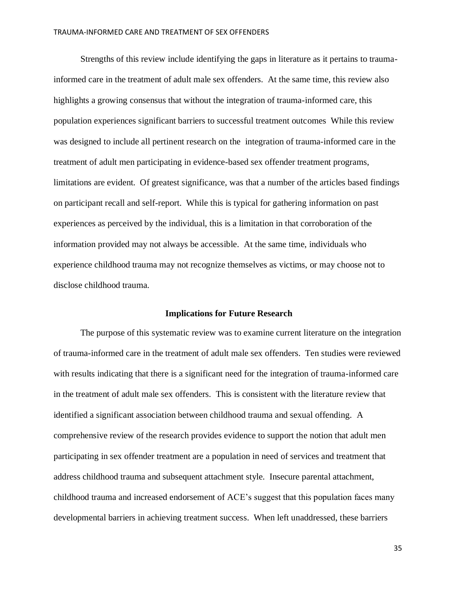Strengths of this review include identifying the gaps in literature as it pertains to traumainformed care in the treatment of adult male sex offenders. At the same time, this review also highlights a growing consensus that without the integration of trauma-informed care, this population experiences significant barriers to successful treatment outcomes While this review was designed to include all pertinent research on the integration of trauma-informed care in the treatment of adult men participating in evidence-based sex offender treatment programs, limitations are evident. Of greatest significance, was that a number of the articles based findings on participant recall and self-report. While this is typical for gathering information on past experiences as perceived by the individual, this is a limitation in that corroboration of the information provided may not always be accessible. At the same time, individuals who experience childhood trauma may not recognize themselves as victims, or may choose not to disclose childhood trauma.

#### **Implications for Future Research**

The purpose of this systematic review was to examine current literature on the integration of trauma-informed care in the treatment of adult male sex offenders. Ten studies were reviewed with results indicating that there is a significant need for the integration of trauma-informed care in the treatment of adult male sex offenders. This is consistent with the literature review that identified a significant association between childhood trauma and sexual offending. A comprehensive review of the research provides evidence to support the notion that adult men participating in sex offender treatment are a population in need of services and treatment that address childhood trauma and subsequent attachment style. Insecure parental attachment, childhood trauma and increased endorsement of ACE's suggest that this population faces many developmental barriers in achieving treatment success. When left unaddressed, these barriers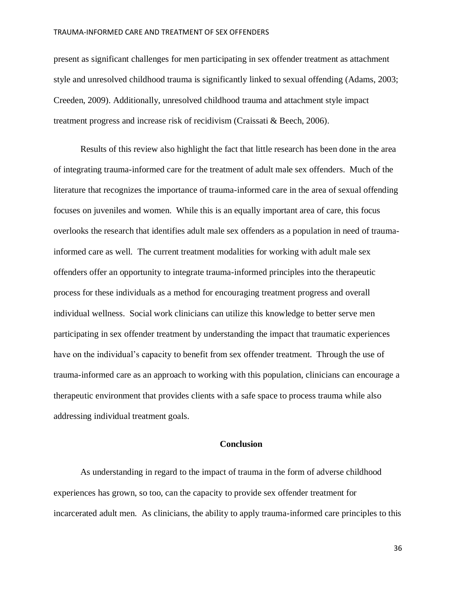present as significant challenges for men participating in sex offender treatment as attachment style and unresolved childhood trauma is significantly linked to sexual offending (Adams, 2003; Creeden, 2009). Additionally, unresolved childhood trauma and attachment style impact treatment progress and increase risk of recidivism (Craissati & Beech, 2006).

Results of this review also highlight the fact that little research has been done in the area of integrating trauma-informed care for the treatment of adult male sex offenders. Much of the literature that recognizes the importance of trauma-informed care in the area of sexual offending focuses on juveniles and women. While this is an equally important area of care, this focus overlooks the research that identifies adult male sex offenders as a population in need of traumainformed care as well. The current treatment modalities for working with adult male sex offenders offer an opportunity to integrate trauma-informed principles into the therapeutic process for these individuals as a method for encouraging treatment progress and overall individual wellness. Social work clinicians can utilize this knowledge to better serve men participating in sex offender treatment by understanding the impact that traumatic experiences have on the individual's capacity to benefit from sex offender treatment. Through the use of trauma-informed care as an approach to working with this population, clinicians can encourage a therapeutic environment that provides clients with a safe space to process trauma while also addressing individual treatment goals.

# **Conclusion**

As understanding in regard to the impact of trauma in the form of adverse childhood experiences has grown, so too, can the capacity to provide sex offender treatment for incarcerated adult men. As clinicians, the ability to apply trauma-informed care principles to this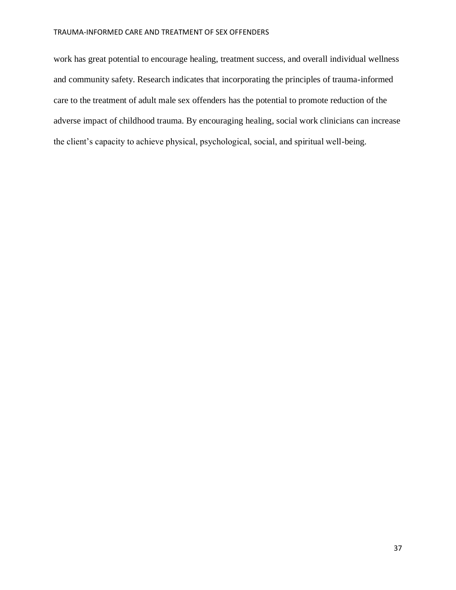work has great potential to encourage healing, treatment success, and overall individual wellness and community safety. Research indicates that incorporating the principles of trauma-informed care to the treatment of adult male sex offenders has the potential to promote reduction of the adverse impact of childhood trauma. By encouraging healing, social work clinicians can increase the client's capacity to achieve physical, psychological, social, and spiritual well-being.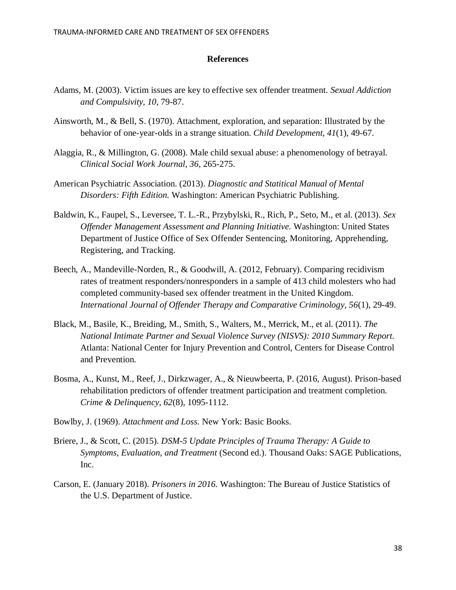# **References**

- Adams, M. (2003). Victim issues are key to effective sex offender treatment. *Sexual Addiction and Compulsivity, 10*, 79-87.
- Ainsworth, M., & Bell, S. (1970). Attachment, exploration, and separation: Illustrated by the behavior of one-year-olds in a strange situation. *Child Development, 41*(1), 49-67.
- Alaggia, R., & Millington, G. (2008). Male child sexual abuse: a phenomenology of betrayal. *Clinical Social Work Journal, 36*, 265-275.
- American Psychiatric Association. (2013). *Diagnostic and Statitical Manual of Mental Disorders: Fifth Edition.* Washington: American Psychiatric Publishing.
- Baldwin, K., Faupel, S., Leversee, T. L.-R., Przybylski, R., Rich, P., Seto, M., et al. (2013). *Sex Offender Management Assessment and Planning Initiative.* Washington: United States Department of Justice Office of Sex Offender Sentencing, Monitoring, Apprehending, Registering, and Tracking.
- Beech, A., Mandeville-Norden, R., & Goodwill, A. (2012, February). Comparing recidivism rates of treatment responders/nonresponders in a sample of 413 child molesters who had completed community-based sex offender treatment in the United Kingdom. *International Journal of Offender Therapy and Comparative Criminology, 56*(1), 29-49.
- Black, M., Basile, K., Breiding, M., Smith, S., Walters, M., Merrick, M., et al. (2011). *The National Intimate Partner and Sexual Violence Survey (NISVS): 2010 Summary Report.* Atlanta: National Center for Injury Prevention and Control, Centers for Disease Control and Prevention.
- Bosma, A., Kunst, M., Reef, J., Dirkzwager, A., & Nieuwbeerta, P. (2016, August). Prison-based rehabilitation predictors of offender treatment participation and treatment completion. *Crime & Delinquency, 62*(8), 1095-1112.
- Bowlby, J. (1969). *Attachment and Loss.* New York: Basic Books.
- Briere, J., & Scott, C. (2015). *DSM-5 Update Principles of Trauma Therapy: A Guide to Symptoms, Evaluation, and Treatment* (Second ed.). Thousand Oaks: SAGE Publications, Inc.
- Carson, E. (January 2018). *Prisoners in 2016.* Washington: The Bureau of Justice Statistics of the U.S. Department of Justice.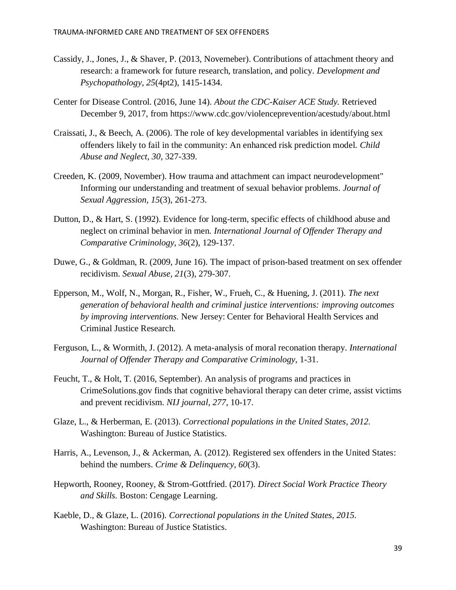- Cassidy, J., Jones, J., & Shaver, P. (2013, Novemeber). Contributions of attachment theory and research: a framework for future research, translation, and policy. *Development and Psychopathology, 25*(4pt2), 1415-1434.
- Center for Disease Control. (2016, June 14). *About the CDC-Kaiser ACE Study.* Retrieved December 9, 2017, from https://www.cdc.gov/violenceprevention/acestudy/about.html
- Craissati, J., & Beech, A. (2006). The role of key developmental variables in identifying sex offenders likely to fail in the community: An enhanced risk prediction model. *Child Abuse and Neglect, 30*, 327-339.
- Creeden, K. (2009, November). How trauma and attachment can impact neurodevelopment" Informing our understanding and treatment of sexual behavior problems. *Journal of Sexual Aggression, 15*(3), 261-273.
- Dutton, D., & Hart, S. (1992). Evidence for long-term, specific effects of childhood abuse and neglect on criminal behavior in men. *International Journal of Offender Therapy and Comparative Criminology, 36*(2), 129-137.
- Duwe, G., & Goldman, R. (2009, June 16). The impact of prison-based treatment on sex offender recidivism. *Sexual Abuse, 21*(3), 279-307.
- Epperson, M., Wolf, N., Morgan, R., Fisher, W., Frueh, C., & Huening, J. (2011). *The next generation of behavioral health and criminal justice interventions: improving outcomes by improving interventions.* New Jersey: Center for Behavioral Health Services and Criminal Justice Research.
- Ferguson, L., & Wormith, J. (2012). A meta-analysis of moral reconation therapy. *International Journal of Offender Therapy and Comparative Criminology*, 1-31.
- Feucht, T., & Holt, T. (2016, September). An analysis of programs and practices in CrimeSolutions.gov finds that cognitive behavioral therapy can deter crime, assist victims and prevent recidivism. *NIJ journal, 277*, 10-17.
- Glaze, L., & Herberman, E. (2013). *Correctional populations in the United States, 2012.* Washington: Bureau of Justice Statistics.
- Harris, A., Levenson, J., & Ackerman, A. (2012). Registered sex offenders in the United States: behind the numbers. *Crime & Delinquency, 60*(3).
- Hepworth, Rooney, Rooney, & Strom-Gottfried. (2017). *Direct Social Work Practice Theory and Skills.* Boston: Cengage Learning.
- Kaeble, D., & Glaze, L. (2016). *Correctional populations in the United States, 2015.* Washington: Bureau of Justice Statistics.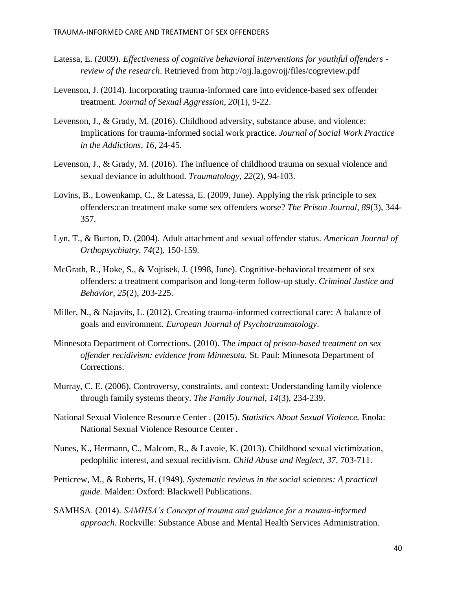- Latessa, E. (2009). *Effectiveness of cognitive behavioral interventions for youthful offenders review of the research*. Retrieved from http://ojj.la.gov/ojj/files/cogreview.pdf
- Levenson, J. (2014). Incorporating trauma-informed care into evidence-based sex offender treatment. *Journal of Sexual Aggression, 20*(1), 9-22.
- Levenson, J., & Grady, M. (2016). Childhood adversity, substance abuse, and violence: Implications for trauma-informed social work practice. *Journal of Social Work Practice in the Addictions, 16*, 24-45.
- Levenson, J., & Grady, M. (2016). The influence of childhood trauma on sexual violence and sexual deviance in adulthood. *Traumatology, 22*(2), 94-103.
- Lovins, B., Lowenkamp, C., & Latessa, E. (2009, June). Applying the risk principle to sex offenders:can treatment make some sex offenders worse? *The Prison Journal, 89*(3), 344- 357.
- Lyn, T., & Burton, D. (2004). Adult attachment and sexual offender status. *American Journal of Orthopsychiatry, 74*(2), 150-159.
- McGrath, R., Hoke, S., & Vojtisek, J. (1998, June). Cognitive-behavioral treatment of sex offenders: a treatment comparison and long-term follow-up study. *Criminal Justice and Behavior, 25*(2), 203-225.
- Miller, N., & Najavits, L. (2012). Creating trauma-informed correctional care: A balance of goals and environment. *European Journal of Psychotraumatology*.
- Minnesota Department of Corrections. (2010). *The impact of prison-based treatment on sex offender recidivism: evidence from Minnesota.* St. Paul: Minnesota Department of Corrections.
- Murray, C. E. (2006). Controversy, constraints, and context: Understanding family violence through family systems theory. *The Family Journal, 14*(3), 234-239.
- National Sexual Violence Resource Center . (2015). *Statistics About Sexual Violence.* Enola: National Sexual Violence Resource Center .
- Nunes, K., Hermann, C., Malcom, R., & Lavoie, K. (2013). Childhood sexual victimization, pedophilic interest, and sexual recidivism. *Child Abuse and Neglect, 37*, 703-711.
- Petticrew, M., & Roberts, H. (1949). *Systematic reviews in the social sciences: A practical guide.* Malden: Oxford: Blackwell Publications.
- SAMHSA. (2014). *SAMHSA's Concept of trauma and guidance for a trauma-informed approach.* Rockville: Substance Abuse and Mental Health Services Administration.